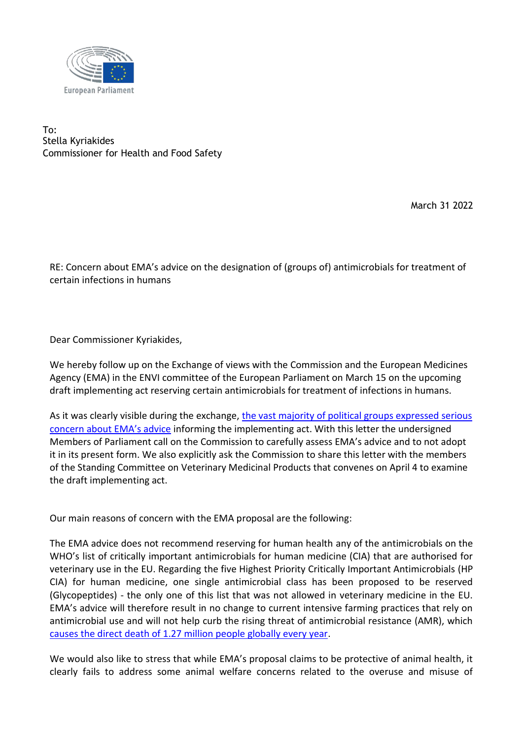

To: Stella Kyriakides Commissioner for Health and Food Safety

March 31 2022

RE: Concern about EMA's advice on the designation of (groups of) antimicrobials for treatment of certain infections in humans

Dear Commissioner Kyriakides,

We hereby follow up on the Exchange of views with the Commission and the European Medicines Agency (EMA) in the ENVI committee of the European Parliament on March 15 on the upcoming draft implementing act reserving certain antimicrobials for treatment of infections in humans.

As it was clearly visible during the exchange, [the vast majority of political groups expressed serious](https://multimedia.europarl.europa.eu/en/webstreaming/envi-committee-meeting_20220315-0900-COMMITTEE-ENVI)  [concern about EMA's advice](https://multimedia.europarl.europa.eu/en/webstreaming/envi-committee-meeting_20220315-0900-COMMITTEE-ENVI) informing the implementing act. With this letter the undersigned Members of Parliament call on the Commission to carefully assess EMA's advice and to not adopt it in its present form. We also explicitly ask the Commission to share this letter with the members of the Standing Committee on Veterinary Medicinal Products that convenes on April 4 to examine the draft implementing act.

Our main reasons of concern with the EMA proposal are the following:

The EMA advice does not recommend reserving for human health any of the antimicrobials on the WHO's list of critically important antimicrobials for human medicine (CIA) that are authorised for veterinary use in the EU. Regarding the five Highest Priority Critically Important Antimicrobials (HP CIA) for human medicine, one single antimicrobial class has been proposed to be reserved (Glycopeptides) - the only one of this list that was not allowed in veterinary medicine in the EU. EMA's advice will therefore result in no change to current intensive farming practices that rely on antimicrobial use and will not help curb the rising threat of antimicrobial resistance (AMR), which [causes the direct death of 1.27 million people globally every year.](https://www.thelancet.com/journals/lancet/article/PIIS0140-6736(21)02724-0/fulltext)

We would also like to stress that while EMA's proposal claims to be protective of animal health, it clearly fails to address some animal welfare concerns related to the overuse and misuse of